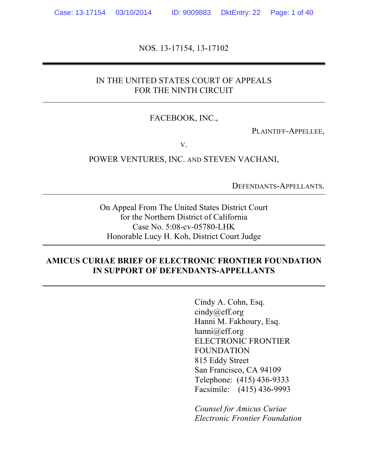NOS. 13-17154, 13-17102

### IN THE UNITED STATES COURT OF APPEALS FOR THE NINTH CIRCUIT

#### FACEBOOK, INC.,

PLAINTIFF-APPELLEE,

V.

POWER VENTURES, INC. AND STEVEN VACHANI,

DEFENDANTS-APPELLANTS.

On Appeal From The United States District Court for the Northern District of California Case No. 5:08-cv-05780-LHK Honorable Lucy H. Koh, District Court Judge

#### **AMICUS CURIAE BRIEF OF ELECTRONIC FRONTIER FOUNDATION IN SUPPORT OF DEFENDANTS-APPELLANTS**

Cindy A. Cohn, Esq. cindy@eff.org Hanni M. Fakhoury, Esq. hanni@eff.org ELECTRONIC FRONTIER FOUNDATION 815 Eddy Street San Francisco, CA 94109 Telephone: (415) 436-9333 Facsimile: (415) 436-9993

*Counsel for Amicus Curiae Electronic Frontier Foundation*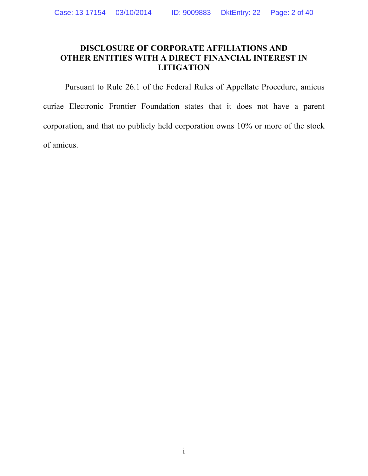## **DISCLOSURE OF CORPORATE AFFILIATIONS AND OTHER ENTITIES WITH A DIRECT FINANCIAL INTEREST IN LITIGATION**

Pursuant to Rule 26.1 of the Federal Rules of Appellate Procedure, amicus curiae Electronic Frontier Foundation states that it does not have a parent corporation, and that no publicly held corporation owns 10% or more of the stock of amicus.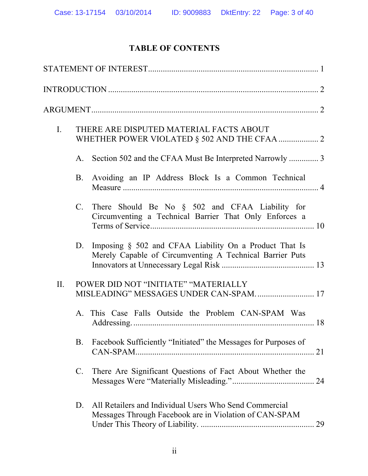# **TABLE OF CONTENTS**

| $I_{\cdot}$ | THERE ARE DISPUTED MATERIAL FACTS ABOUT |                                                                                                                    |    |
|-------------|-----------------------------------------|--------------------------------------------------------------------------------------------------------------------|----|
|             | A.                                      | Section 502 and the CFAA Must Be Interpreted Narrowly  3                                                           |    |
|             | B.                                      | Avoiding an IP Address Block Is a Common Technical                                                                 |    |
|             | $C_{\cdot}$                             | There Should Be No § 502 and CFAA Liability for<br>Circumventing a Technical Barrier That Only Enforces a          |    |
|             | D.                                      | Imposing § 502 and CFAA Liability On a Product That Is<br>Merely Capable of Circumventing A Technical Barrier Puts |    |
| II.         |                                         | POWER DID NOT "INITIATE" "MATERIALLY<br>MISLEADING" MESSAGES UNDER CAN-SPAM 17                                     |    |
|             |                                         | A. This Case Falls Outside the Problem CAN-SPAM Was                                                                |    |
|             | <b>B.</b>                               | Facebook Sufficiently "Initiated" the Messages for Purposes of                                                     | 21 |
|             | $\mathbf{C}$ .                          | There Are Significant Questions of Fact About Whether the                                                          |    |
|             | D.                                      | All Retailers and Individual Users Who Send Commercial<br>Messages Through Facebook are in Violation of CAN-SPAM   | 29 |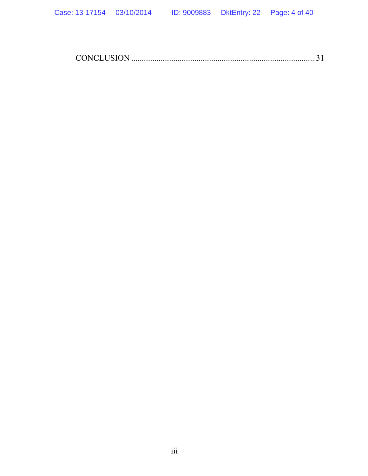CONCLUSION ....................................................................................... 31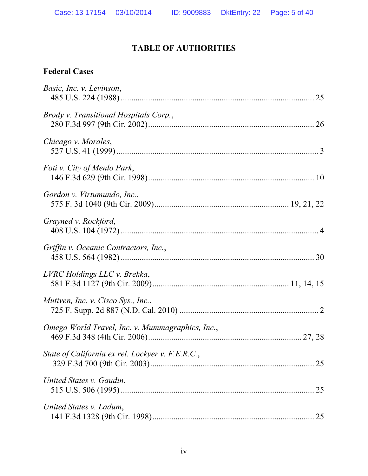## **TABLE OF AUTHORITIES**

## **Federal Cases**

| Basic, Inc. v. Levinson,                         |    |
|--------------------------------------------------|----|
| Brody v. Transitional Hospitals Corp.,           |    |
| Chicago v. Morales,                              |    |
| <i>Foti v. City of Menlo Park,</i>               |    |
| Gordon v. Virtumundo, Inc.,                      |    |
| Grayned v. Rockford,                             |    |
| Griffin v. Oceanic Contractors, Inc.,            |    |
| LVRC Holdings LLC v. Brekka,                     |    |
| Mutiven, Inc. v. Cisco Sys., Inc.,               |    |
| Omega World Travel, Inc. v. Mummagraphics, Inc., |    |
| State of California ex rel. Lockyer v. F.E.R.C., | 25 |
| United States v. Gaudin,                         |    |
| United States v. Ladum,                          |    |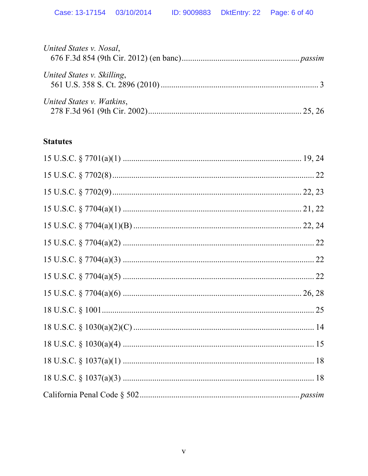| United States v. Nosal,    |  |
|----------------------------|--|
| United States v. Skilling, |  |
| United States v. Watkins,  |  |

## **Statutes**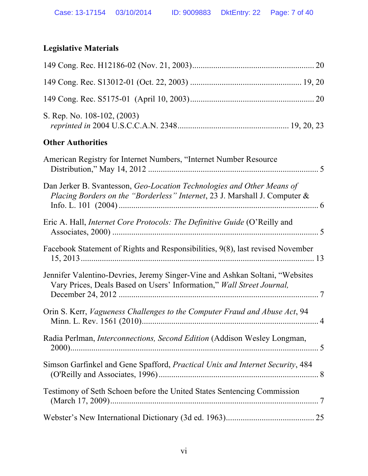# **Legislative Materials**

| S. Rep. No. 108-102, (2003)                                                                                                                           |  |
|-------------------------------------------------------------------------------------------------------------------------------------------------------|--|
| <b>Other Authorities</b>                                                                                                                              |  |
| American Registry for Internet Numbers, "Internet Number Resource"                                                                                    |  |
| Dan Jerker B. Svantesson, Geo-Location Technologies and Other Means of<br>Placing Borders on the "Borderless" Internet, 23 J. Marshall J. Computer &  |  |
| Eric A. Hall, <i>Internet Core Protocols: The Definitive Guide</i> (O'Reilly and                                                                      |  |
| Facebook Statement of Rights and Responsibilities, 9(8), last revised November                                                                        |  |
| Jennifer Valentino-Devries, Jeremy Singer-Vine and Ashkan Soltani, "Websites<br>Vary Prices, Deals Based on Users' Information," Wall Street Journal, |  |
| Orin S. Kerr, Vagueness Challenges to the Computer Fraud and Abuse Act, 94                                                                            |  |
| Radia Perlman, <i>Interconnections</i> , <i>Second Edition</i> (Addison Wesley Longman,                                                               |  |
| Simson Garfinkel and Gene Spafford, Practical Unix and Internet Security, 484                                                                         |  |
| Testimony of Seth Schoen before the United States Sentencing Commission                                                                               |  |
|                                                                                                                                                       |  |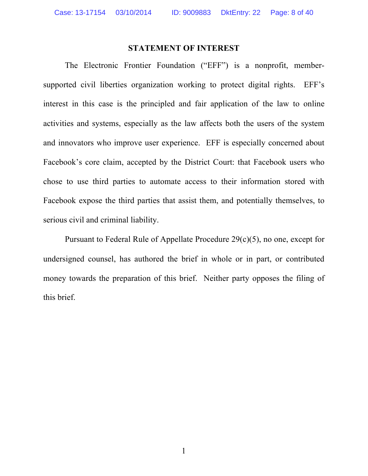#### **STATEMENT OF INTEREST**

The Electronic Frontier Foundation ("EFF") is a nonprofit, membersupported civil liberties organization working to protect digital rights. EFF's interest in this case is the principled and fair application of the law to online activities and systems, especially as the law affects both the users of the system and innovators who improve user experience. EFF is especially concerned about Facebook's core claim, accepted by the District Court: that Facebook users who chose to use third parties to automate access to their information stored with Facebook expose the third parties that assist them, and potentially themselves, to serious civil and criminal liability.

Pursuant to Federal Rule of Appellate Procedure 29(c)(5), no one, except for undersigned counsel, has authored the brief in whole or in part, or contributed money towards the preparation of this brief. Neither party opposes the filing of this brief.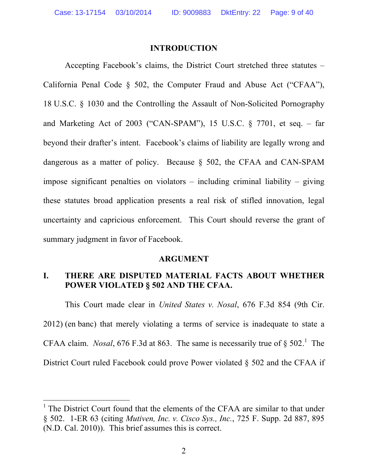#### **INTRODUCTION**

Accepting Facebook's claims, the District Court stretched three statutes – California Penal Code § 502, the Computer Fraud and Abuse Act ("CFAA"), 18 U.S.C. § 1030 and the Controlling the Assault of Non-Solicited Pornography and Marketing Act of 2003 ("CAN-SPAM"), 15 U.S.C. § 7701, et seq. – far beyond their drafter's intent. Facebook's claims of liability are legally wrong and dangerous as a matter of policy. Because § 502, the CFAA and CAN-SPAM impose significant penalties on violators – including criminal liability – giving these statutes broad application presents a real risk of stifled innovation, legal uncertainty and capricious enforcement. This Court should reverse the grant of summary judgment in favor of Facebook.

#### **ARGUMENT**

## **I. THERE ARE DISPUTED MATERIAL FACTS ABOUT WHETHER POWER VIOLATED § 502 AND THE CFAA.**

This Court made clear in *United States v. Nosal*, 676 F.3d 854 (9th Cir. 2012) (en banc) that merely violating a terms of service is inadequate to state a CFAA claim. *Nosal*, 676 F.3d at 863. The same is necessarily true of  $\S 502$ .<sup>1</sup> The District Court ruled Facebook could prove Power violated § 502 and the CFAA if

 $<sup>1</sup>$  The District Court found that the elements of the CFAA are similar to that under</sup> § 502. 1-ER 63 (citing *Mutiven, Inc. v. Cisco Sys., Inc.*, 725 F. Supp. 2d 887, 895 (N.D. Cal. 2010)). This brief assumes this is correct.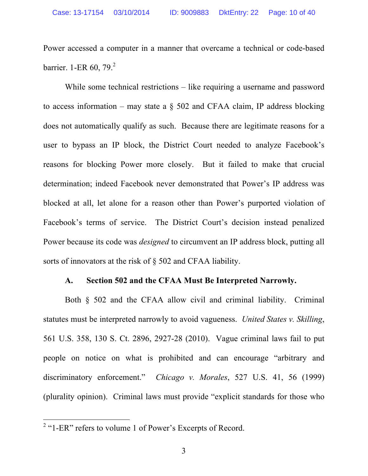Power accessed a computer in a manner that overcame a technical or code-based barrier. 1-ER  $60, 79.2$ 

While some technical restrictions – like requiring a username and password to access information – may state a  $\S$  502 and CFAA claim, IP address blocking does not automatically qualify as such. Because there are legitimate reasons for a user to bypass an IP block, the District Court needed to analyze Facebook's reasons for blocking Power more closely. But it failed to make that crucial determination; indeed Facebook never demonstrated that Power's IP address was blocked at all, let alone for a reason other than Power's purported violation of Facebook's terms of service. The District Court's decision instead penalized Power because its code was *designed* to circumvent an IP address block, putting all sorts of innovators at the risk of § 502 and CFAA liability.

#### **A. Section 502 and the CFAA Must Be Interpreted Narrowly.**

Both § 502 and the CFAA allow civil and criminal liability. Criminal statutes must be interpreted narrowly to avoid vagueness. *United States v. Skilling*, 561 U.S. 358, 130 S. Ct. 2896, 2927-28 (2010). Vague criminal laws fail to put people on notice on what is prohibited and can encourage "arbitrary and discriminatory enforcement." *Chicago v. Morales*, 527 U.S. 41, 56 (1999) (plurality opinion). Criminal laws must provide "explicit standards for those who

<sup>&</sup>lt;sup>2</sup> "1-ER" refers to volume 1 of Power's Excerpts of Record.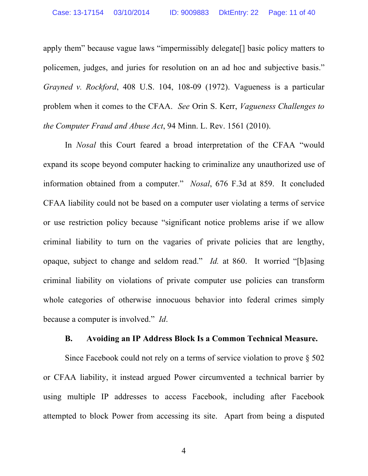apply them" because vague laws "impermissibly delegate[] basic policy matters to policemen, judges, and juries for resolution on an ad hoc and subjective basis." *Grayned v. Rockford*, 408 U.S. 104, 108-09 (1972). Vagueness is a particular problem when it comes to the CFAA. *See* Orin S. Kerr, *Vagueness Challenges to the Computer Fraud and Abuse Act*, 94 Minn. L. Rev. 1561 (2010).

In *Nosal* this Court feared a broad interpretation of the CFAA "would expand its scope beyond computer hacking to criminalize any unauthorized use of information obtained from a computer." *Nosal*, 676 F.3d at 859. It concluded CFAA liability could not be based on a computer user violating a terms of service or use restriction policy because "significant notice problems arise if we allow criminal liability to turn on the vagaries of private policies that are lengthy, opaque, subject to change and seldom read." *Id.* at 860. It worried "[b]asing criminal liability on violations of private computer use policies can transform whole categories of otherwise innocuous behavior into federal crimes simply because a computer is involved." *Id*.

#### **B. Avoiding an IP Address Block Is a Common Technical Measure.**

Since Facebook could not rely on a terms of service violation to prove § 502 or CFAA liability, it instead argued Power circumvented a technical barrier by using multiple IP addresses to access Facebook, including after Facebook attempted to block Power from accessing its site. Apart from being a disputed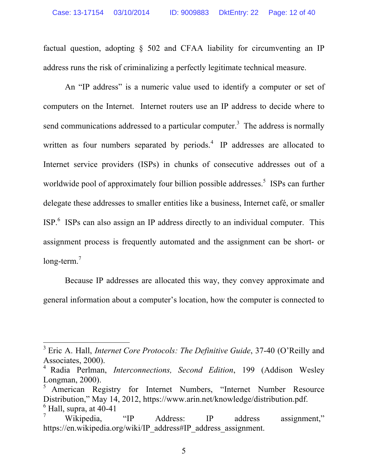factual question, adopting § 502 and CFAA liability for circumventing an IP address runs the risk of criminalizing a perfectly legitimate technical measure.

An "IP address" is a numeric value used to identify a computer or set of computers on the Internet. Internet routers use an IP address to decide where to send communications addressed to a particular computer.<sup>3</sup> The address is normally written as four numbers separated by periods. $4$  IP addresses are allocated to Internet service providers (ISPs) in chunks of consecutive addresses out of a worldwide pool of approximately four billion possible addresses.<sup>5</sup> ISPs can further delegate these addresses to smaller entities like a business, Internet café, or smaller ISP.<sup>6</sup> ISPs can also assign an IP address directly to an individual computer. This assignment process is frequently automated and the assignment can be short- or long-term.<sup>7</sup>

Because IP addresses are allocated this way, they convey approximate and general information about a computer's location, how the computer is connected to

 <sup>3</sup> Eric A. Hall, *Internet Core Protocols: The Definitive Guide*, 37-40 (O'Reilly and Associates, 2000). <sup>4</sup> Radia Perlman, *Interconnections, Second Edition*, 199 (Addison Wesley

Longman, 2000).<br><sup>5</sup> American Registry for Internet Numbers, "Internet Number Resource

Distribution," May 14, 2012, https://www.arin.net/knowledge/distribution.pdf.  $<sup>6</sup>$  Hall, supra, at 40-41</sup>

<sup>7</sup> Wikipedia, "IP Address: IP address assignment," https://en.wikipedia.org/wiki/IP\_address#IP\_address\_assignment.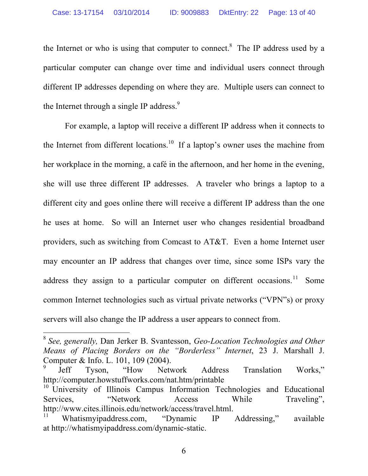the Internet or who is using that computer to connect.<sup>8</sup> The IP address used by a particular computer can change over time and individual users connect through different IP addresses depending on where they are. Multiple users can connect to the Internet through a single IP address.<sup>9</sup>

For example, a laptop will receive a different IP address when it connects to the Internet from different locations.<sup>10</sup> If a laptop's owner uses the machine from her workplace in the morning, a café in the afternoon, and her home in the evening, she will use three different IP addresses. A traveler who brings a laptop to a different city and goes online there will receive a different IP address than the one he uses at home. So will an Internet user who changes residential broadband providers, such as switching from Comcast to AT&T. Even a home Internet user may encounter an IP address that changes over time, since some ISPs vary the address they assign to a particular computer on different occasions.<sup>11</sup> Some common Internet technologies such as virtual private networks ("VPN"s) or proxy servers will also change the IP address a user appears to connect from.

 <sup>8</sup> *See, generally,* Dan Jerker B. Svantesson, *Geo-Location Technologies and Other Means of Placing Borders on the "Borderless" Internet*, 23 J. Marshall J. Computer & Info. L. 101, 109 (2004).

<sup>&</sup>lt;sup>9</sup> Jeff Tyson, "How Network Address Translation Works," http://computer.howstuffworks.com/nat.htm/printable

<sup>&</sup>lt;sup>10</sup> University of Illinois Campus Information Technologies and Educational Services, "Network Access While Traveling", http://www.cites.illinois.edu/network/access/travel.html.

Whatismyipaddress.com, "Dynamic IP Addressing," available at http://whatismyipaddress.com/dynamic-static.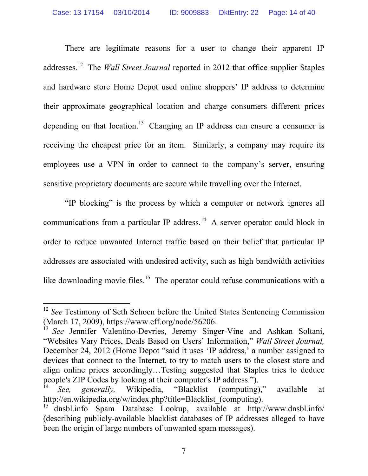There are legitimate reasons for a user to change their apparent IP addresses.12 The *Wall Street Journal* reported in 2012 that office supplier Staples and hardware store Home Depot used online shoppers' IP address to determine their approximate geographical location and charge consumers different prices depending on that location.<sup>13</sup> Changing an IP address can ensure a consumer is receiving the cheapest price for an item. Similarly, a company may require its employees use a VPN in order to connect to the company's server, ensuring sensitive proprietary documents are secure while travelling over the Internet.

"IP blocking" is the process by which a computer or network ignores all communications from a particular IP address.<sup>14</sup> A server operator could block in order to reduce unwanted Internet traffic based on their belief that particular IP addresses are associated with undesired activity, such as high bandwidth activities like downloading movie files.<sup>15</sup> The operator could refuse communications with a

<sup>&</sup>lt;sup>12</sup> *See* Testimony of Seth Schoen before the United States Sentencing Commission (March 17, 2009), https://www.eff.org/node/56206.

<sup>&</sup>lt;sup>13</sup> *See* Jennifer Valentino-Devries, Jeremy Singer-Vine and Ashkan Soltani, "Websites Vary Prices, Deals Based on Users' Information," *Wall Street Journal,*  December 24, 2012 (Home Depot "said it uses 'IP address,' a number assigned to devices that connect to the Internet, to try to match users to the closest store and align online prices accordingly…Testing suggested that Staples tries to deduce people's ZIP Codes by looking at their computer's IP address.").

See, generally, Wikipedia, "Blacklist (computing)," available at http://en.wikipedia.org/w/index.php?title=Blacklist (computing).

<sup>15</sup> dnsbl.info Spam Database Lookup, available at http://www.dnsbl.info/ (describing publicly-available blacklist databases of IP addresses alleged to have been the origin of large numbers of unwanted spam messages).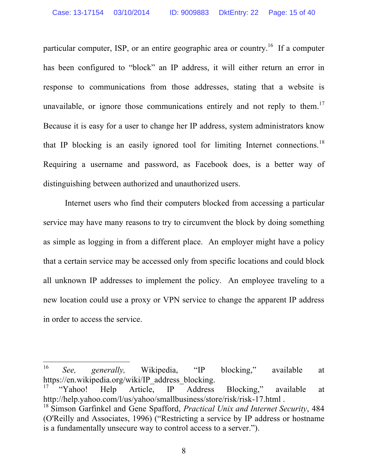particular computer, ISP, or an entire geographic area or country.<sup>16</sup> If a computer has been configured to "block" an IP address, it will either return an error in response to communications from those addresses, stating that a website is unavailable, or ignore those communications entirely and not reply to them.<sup>17</sup> Because it is easy for a user to change her IP address, system administrators know that IP blocking is an easily ignored tool for limiting Internet connections.<sup>18</sup> Requiring a username and password, as Facebook does, is a better way of distinguishing between authorized and unauthorized users.

Internet users who find their computers blocked from accessing a particular service may have many reasons to try to circumvent the block by doing something as simple as logging in from a different place. An employer might have a policy that a certain service may be accessed only from specific locations and could block all unknown IP addresses to implement the policy. An employee traveling to a new location could use a proxy or VPN service to change the apparent IP address in order to access the service.

 <sup>16</sup> *See, generally,* Wikipedia, "IP blocking," available at https://en.wikipedia.org/wiki/IP\_address\_blocking.

<sup>&</sup>lt;sup>17</sup> "Yahoo! Help Article, IP Address Blocking," available at http://help.yahoo.com/l/us/yahoo/smallbusiness/store/risk/risk-17.html .

<sup>18</sup> Simson Garfinkel and Gene Spafford, *Practical Unix and Internet Security*, 484 (O'Reilly and Associates, 1996) ("Restricting a service by IP address or hostname is a fundamentally unsecure way to control access to a server.").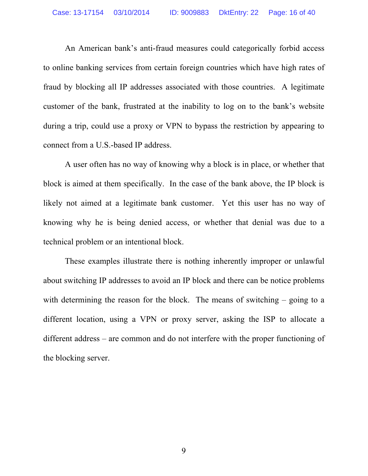An American bank's anti-fraud measures could categorically forbid access to online banking services from certain foreign countries which have high rates of fraud by blocking all IP addresses associated with those countries. A legitimate customer of the bank, frustrated at the inability to log on to the bank's website during a trip, could use a proxy or VPN to bypass the restriction by appearing to connect from a U.S.-based IP address.

A user often has no way of knowing why a block is in place, or whether that block is aimed at them specifically. In the case of the bank above, the IP block is likely not aimed at a legitimate bank customer. Yet this user has no way of knowing why he is being denied access, or whether that denial was due to a technical problem or an intentional block.

These examples illustrate there is nothing inherently improper or unlawful about switching IP addresses to avoid an IP block and there can be notice problems with determining the reason for the block. The means of switching – going to a different location, using a VPN or proxy server, asking the ISP to allocate a different address – are common and do not interfere with the proper functioning of the blocking server.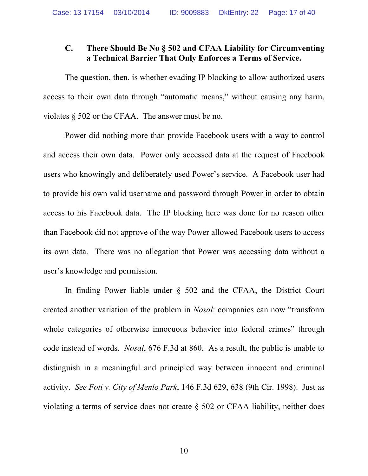## **C. There Should Be No § 502 and CFAA Liability for Circumventing a Technical Barrier That Only Enforces a Terms of Service.**

The question, then, is whether evading IP blocking to allow authorized users access to their own data through "automatic means," without causing any harm, violates § 502 or the CFAA. The answer must be no.

Power did nothing more than provide Facebook users with a way to control and access their own data. Power only accessed data at the request of Facebook users who knowingly and deliberately used Power's service. A Facebook user had to provide his own valid username and password through Power in order to obtain access to his Facebook data. The IP blocking here was done for no reason other than Facebook did not approve of the way Power allowed Facebook users to access its own data. There was no allegation that Power was accessing data without a user's knowledge and permission.

In finding Power liable under § 502 and the CFAA, the District Court created another variation of the problem in *Nosal*: companies can now "transform whole categories of otherwise innocuous behavior into federal crimes" through code instead of words. *Nosal*, 676 F.3d at 860. As a result, the public is unable to distinguish in a meaningful and principled way between innocent and criminal activity. *See Foti v. City of Menlo Park*, 146 F.3d 629, 638 (9th Cir. 1998). Just as violating a terms of service does not create § 502 or CFAA liability, neither does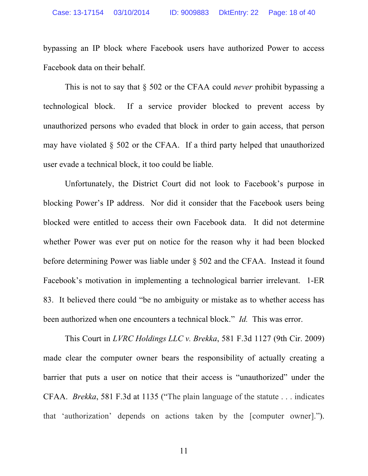bypassing an IP block where Facebook users have authorized Power to access Facebook data on their behalf.

This is not to say that § 502 or the CFAA could *never* prohibit bypassing a technological block. If a service provider blocked to prevent access by unauthorized persons who evaded that block in order to gain access, that person may have violated § 502 or the CFAA. If a third party helped that unauthorized user evade a technical block, it too could be liable.

Unfortunately, the District Court did not look to Facebook's purpose in blocking Power's IP address. Nor did it consider that the Facebook users being blocked were entitled to access their own Facebook data. It did not determine whether Power was ever put on notice for the reason why it had been blocked before determining Power was liable under § 502 and the CFAA. Instead it found Facebook's motivation in implementing a technological barrier irrelevant. 1-ER 83. It believed there could "be no ambiguity or mistake as to whether access has been authorized when one encounters a technical block." *Id.* This was error.

This Court in *LVRC Holdings LLC v. Brekka*, 581 F.3d 1127 (9th Cir. 2009) made clear the computer owner bears the responsibility of actually creating a barrier that puts a user on notice that their access is "unauthorized" under the CFAA. *Brekka*, 581 F.3d at 1135 ("The plain language of the statute . . . indicates that 'authorization' depends on actions taken by the [computer owner].").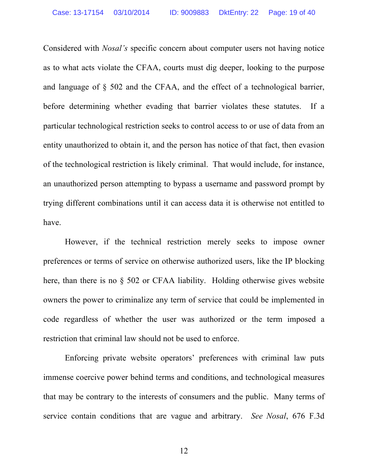Considered with *Nosal's* specific concern about computer users not having notice as to what acts violate the CFAA, courts must dig deeper, looking to the purpose and language of § 502 and the CFAA, and the effect of a technological barrier, before determining whether evading that barrier violates these statutes. If a particular technological restriction seeks to control access to or use of data from an entity unauthorized to obtain it, and the person has notice of that fact, then evasion of the technological restriction is likely criminal. That would include, for instance, an unauthorized person attempting to bypass a username and password prompt by trying different combinations until it can access data it is otherwise not entitled to have.

However, if the technical restriction merely seeks to impose owner preferences or terms of service on otherwise authorized users, like the IP blocking here, than there is no § 502 or CFAA liability. Holding otherwise gives website owners the power to criminalize any term of service that could be implemented in code regardless of whether the user was authorized or the term imposed a restriction that criminal law should not be used to enforce.

Enforcing private website operators' preferences with criminal law puts immense coercive power behind terms and conditions, and technological measures that may be contrary to the interests of consumers and the public. Many terms of service contain conditions that are vague and arbitrary. *See Nosal*, 676 F.3d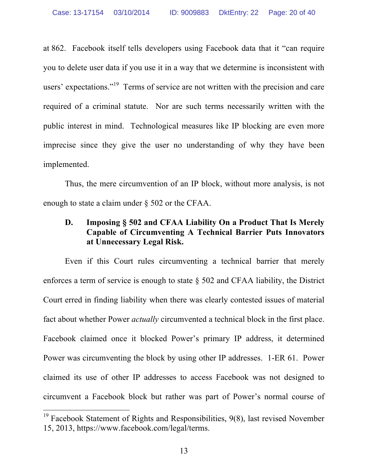at 862. Facebook itself tells developers using Facebook data that it "can require you to delete user data if you use it in a way that we determine is inconsistent with users' expectations."<sup>19</sup> Terms of service are not written with the precision and care required of a criminal statute. Nor are such terms necessarily written with the public interest in mind. Technological measures like IP blocking are even more imprecise since they give the user no understanding of why they have been implemented.

Thus, the mere circumvention of an IP block, without more analysis, is not enough to state a claim under § 502 or the CFAA.

## **D. Imposing § 502 and CFAA Liability On a Product That Is Merely Capable of Circumventing A Technical Barrier Puts Innovators at Unnecessary Legal Risk.**

Even if this Court rules circumventing a technical barrier that merely enforces a term of service is enough to state § 502 and CFAA liability, the District Court erred in finding liability when there was clearly contested issues of material fact about whether Power *actually* circumvented a technical block in the first place. Facebook claimed once it blocked Power's primary IP address, it determined Power was circumventing the block by using other IP addresses. 1-ER 61. Power claimed its use of other IP addresses to access Facebook was not designed to circumvent a Facebook block but rather was part of Power's normal course of

 $19$  Facebook Statement of Rights and Responsibilities,  $9(8)$ , last revised November 15, 2013, https://www.facebook.com/legal/terms.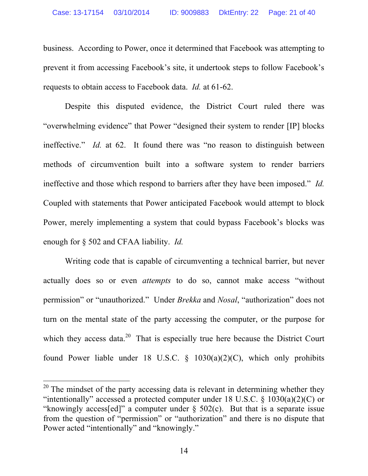business. According to Power, once it determined that Facebook was attempting to prevent it from accessing Facebook's site, it undertook steps to follow Facebook's requests to obtain access to Facebook data. *Id.* at 61-62.

Despite this disputed evidence, the District Court ruled there was "overwhelming evidence" that Power "designed their system to render [IP] blocks ineffective." *Id.* at 62. It found there was "no reason to distinguish between methods of circumvention built into a software system to render barriers ineffective and those which respond to barriers after they have been imposed." *Id.* Coupled with statements that Power anticipated Facebook would attempt to block Power, merely implementing a system that could bypass Facebook's blocks was enough for § 502 and CFAA liability. *Id.*

Writing code that is capable of circumventing a technical barrier, but never actually does so or even *attempts* to do so, cannot make access "without permission" or "unauthorized." Under *Brekka* and *Nosal*, "authorization" does not turn on the mental state of the party accessing the computer, or the purpose for which they access data.<sup>20</sup> That is especially true here because the District Court found Power liable under 18 U.S.C.  $\S$  1030(a)(2)(C), which only prohibits

 $20$  The mindset of the party accessing data is relevant in determining whether they "intentionally" accessed a protected computer under 18 U.S.C.  $\S$  1030(a)(2)(C) or "knowingly access[ed]" a computer under  $\S$  502(c). But that is a separate issue from the question of "permission" or "authorization" and there is no dispute that Power acted "intentionally" and "knowingly."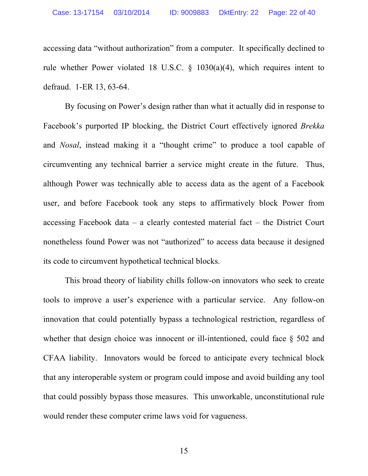accessing data "without authorization" from a computer. It specifically declined to rule whether Power violated 18 U.S.C. § 1030(a)(4), which requires intent to defraud. 1-ER 13, 63-64.

By focusing on Power's design rather than what it actually did in response to Facebook's purported IP blocking, the District Court effectively ignored *Brekka* and *Nosal*, instead making it a "thought crime" to produce a tool capable of circumventing any technical barrier a service might create in the future. Thus, although Power was technically able to access data as the agent of a Facebook user, and before Facebook took any steps to affirmatively block Power from accessing Facebook data – a clearly contested material fact – the District Court nonetheless found Power was not "authorized" to access data because it designed its code to circumvent hypothetical technical blocks.

This broad theory of liability chills follow-on innovators who seek to create tools to improve a user's experience with a particular service. Any follow-on innovation that could potentially bypass a technological restriction, regardless of whether that design choice was innocent or ill-intentioned, could face  $\S$  502 and CFAA liability. Innovators would be forced to anticipate every technical block that any interoperable system or program could impose and avoid building any tool that could possibly bypass those measures. This unworkable, unconstitutional rule would render these computer crime laws void for vagueness.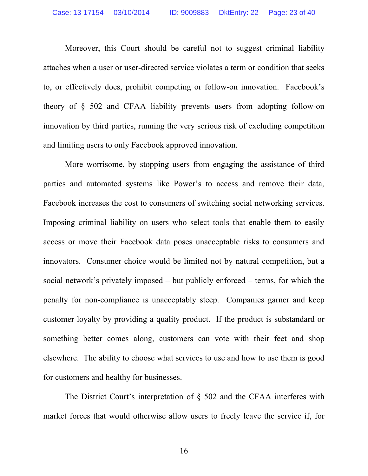Moreover, this Court should be careful not to suggest criminal liability attaches when a user or user-directed service violates a term or condition that seeks to, or effectively does, prohibit competing or follow-on innovation. Facebook's theory of § 502 and CFAA liability prevents users from adopting follow-on innovation by third parties, running the very serious risk of excluding competition and limiting users to only Facebook approved innovation.

More worrisome, by stopping users from engaging the assistance of third parties and automated systems like Power's to access and remove their data, Facebook increases the cost to consumers of switching social networking services. Imposing criminal liability on users who select tools that enable them to easily access or move their Facebook data poses unacceptable risks to consumers and innovators. Consumer choice would be limited not by natural competition, but a social network's privately imposed – but publicly enforced – terms, for which the penalty for non-compliance is unacceptably steep. Companies garner and keep customer loyalty by providing a quality product. If the product is substandard or something better comes along, customers can vote with their feet and shop elsewhere. The ability to choose what services to use and how to use them is good for customers and healthy for businesses.

The District Court's interpretation of § 502 and the CFAA interferes with market forces that would otherwise allow users to freely leave the service if, for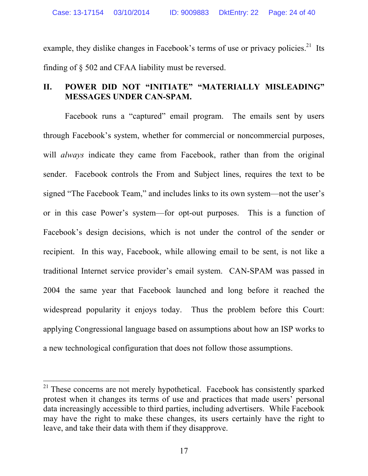example, they dislike changes in Facebook's terms of use or privacy policies.<sup>21</sup> Its finding of § 502 and CFAA liability must be reversed.

## **II. POWER DID NOT "INITIATE" "MATERIALLY MISLEADING" MESSAGES UNDER CAN-SPAM.**

Facebook runs a "captured" email program. The emails sent by users through Facebook's system, whether for commercial or noncommercial purposes, will *always* indicate they came from Facebook, rather than from the original sender. Facebook controls the From and Subject lines, requires the text to be signed "The Facebook Team," and includes links to its own system—not the user's or in this case Power's system—for opt-out purposes. This is a function of Facebook's design decisions, which is not under the control of the sender or recipient. In this way, Facebook, while allowing email to be sent, is not like a traditional Internet service provider's email system. CAN-SPAM was passed in 2004 the same year that Facebook launched and long before it reached the widespread popularity it enjoys today. Thus the problem before this Court: applying Congressional language based on assumptions about how an ISP works to a new technological configuration that does not follow those assumptions.

<sup>&</sup>lt;sup>21</sup> These concerns are not merely hypothetical. Facebook has consistently sparked protest when it changes its terms of use and practices that made users' personal data increasingly accessible to third parties, including advertisers. While Facebook may have the right to make these changes, its users certainly have the right to leave, and take their data with them if they disapprove.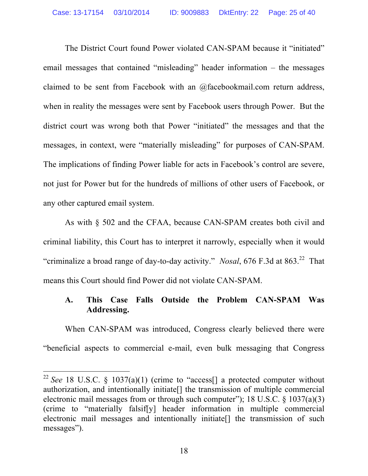The District Court found Power violated CAN-SPAM because it "initiated" email messages that contained "misleading" header information – the messages claimed to be sent from Facebook with an @facebookmail.com return address, when in reality the messages were sent by Facebook users through Power. But the district court was wrong both that Power "initiated" the messages and that the messages, in context, were "materially misleading" for purposes of CAN-SPAM. The implications of finding Power liable for acts in Facebook's control are severe, not just for Power but for the hundreds of millions of other users of Facebook, or any other captured email system.

As with § 502 and the CFAA, because CAN-SPAM creates both civil and criminal liability, this Court has to interpret it narrowly, especially when it would "criminalize a broad range of day-to-day activity." *Nosal*, 676 F.3d at 863. <sup>22</sup> That means this Court should find Power did not violate CAN-SPAM.

## **A. This Case Falls Outside the Problem CAN-SPAM Was Addressing.**

When CAN-SPAM was introduced, Congress clearly believed there were "beneficial aspects to commercial e-mail, even bulk messaging that Congress

<sup>&</sup>lt;sup>22</sup> See 18 U.S.C. § 1037(a)(1) (crime to "access[] a protected computer without authorization, and intentionally initiate[] the transmission of multiple commercial electronic mail messages from or through such computer"); 18 U.S.C. § 1037(a)(3) (crime to "materially falsif[y] header information in multiple commercial electronic mail messages and intentionally initiate[] the transmission of such messages").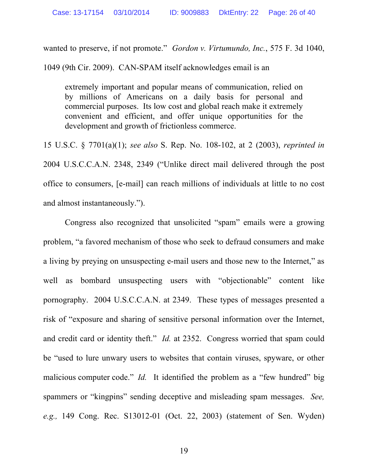wanted to preserve, if not promote." *Gordon v. Virtumundo, Inc.*, 575 F. 3d 1040,

1049 (9th Cir. 2009). CAN-SPAM itself acknowledges email is an

extremely important and popular means of communication, relied on by millions of Americans on a daily basis for personal and commercial purposes. Its low cost and global reach make it extremely convenient and efficient, and offer unique opportunities for the development and growth of frictionless commerce.

15 U.S.C. § 7701(a)(1); *see also* S. Rep. No. 108-102, at 2 (2003), *reprinted in* 2004 U.S.C.C.A.N. 2348, 2349 ("Unlike direct mail delivered through the post office to consumers, [e-mail] can reach millions of individuals at little to no cost and almost instantaneously.").

Congress also recognized that unsolicited "spam" emails were a growing problem, "a favored mechanism of those who seek to defraud consumers and make a living by preying on unsuspecting e-mail users and those new to the Internet," as well as bombard unsuspecting users with "objectionable" content like pornography. 2004 U.S.C.C.A.N. at 2349. These types of messages presented a risk of "exposure and sharing of sensitive personal information over the Internet, and credit card or identity theft." *Id.* at 2352. Congress worried that spam could be "used to lure unwary users to websites that contain viruses, spyware, or other malicious computer code." *Id.* It identified the problem as a "few hundred" big spammers or "kingpins" sending deceptive and misleading spam messages. *See, e.g.,* 149 Cong. Rec. S13012-01 (Oct. 22, 2003) (statement of Sen. Wyden)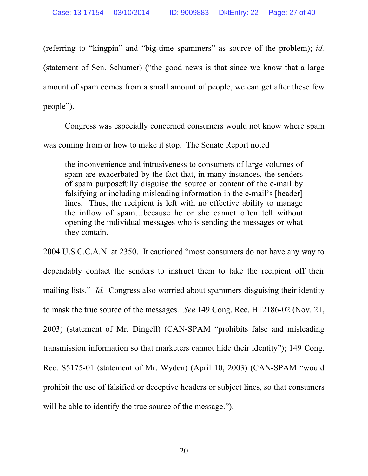(referring to "kingpin" and "big-time spammers" as source of the problem); *id.* (statement of Sen. Schumer) ("the good news is that since we know that a large amount of spam comes from a small amount of people, we can get after these few people").

Congress was especially concerned consumers would not know where spam was coming from or how to make it stop. The Senate Report noted

the inconvenience and intrusiveness to consumers of large volumes of spam are exacerbated by the fact that, in many instances, the senders of spam purposefully disguise the source or content of the e-mail by falsifying or including misleading information in the e-mail's [header] lines. Thus, the recipient is left with no effective ability to manage the inflow of spam…because he or she cannot often tell without opening the individual messages who is sending the messages or what they contain.

2004 U.S.C.C.A.N. at 2350. It cautioned "most consumers do not have any way to dependably contact the senders to instruct them to take the recipient off their mailing lists." *Id.* Congress also worried about spammers disguising their identity to mask the true source of the messages. *See* 149 Cong. Rec. H12186-02 (Nov. 21, 2003) (statement of Mr. Dingell) (CAN-SPAM "prohibits false and misleading transmission information so that marketers cannot hide their identity"); 149 Cong. Rec. S5175-01 (statement of Mr. Wyden) (April 10, 2003) (CAN-SPAM "would prohibit the use of falsified or deceptive headers or subject lines, so that consumers will be able to identify the true source of the message.").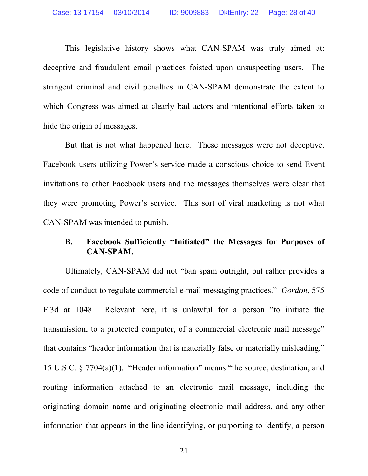This legislative history shows what CAN-SPAM was truly aimed at: deceptive and fraudulent email practices foisted upon unsuspecting users. The stringent criminal and civil penalties in CAN-SPAM demonstrate the extent to which Congress was aimed at clearly bad actors and intentional efforts taken to hide the origin of messages.

But that is not what happened here. These messages were not deceptive. Facebook users utilizing Power's service made a conscious choice to send Event invitations to other Facebook users and the messages themselves were clear that they were promoting Power's service. This sort of viral marketing is not what CAN-SPAM was intended to punish.

## **B. Facebook Sufficiently "Initiated" the Messages for Purposes of CAN-SPAM.**

Ultimately, CAN-SPAM did not "ban spam outright, but rather provides a code of conduct to regulate commercial e-mail messaging practices." *Gordon*, 575 F.3d at 1048. Relevant here, it is unlawful for a person "to initiate the transmission, to a protected computer, of a commercial electronic mail message" that contains "header information that is materially false or materially misleading." 15 U.S.C. § 7704(a)(1). "Header information" means "the source, destination, and routing information attached to an electronic mail message, including the originating domain name and originating electronic mail address, and any other information that appears in the line identifying, or purporting to identify, a person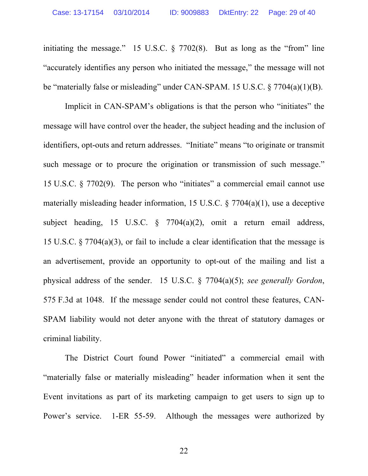initiating the message." 15 U.S.C. § 7702(8). But as long as the "from" line "accurately identifies any person who initiated the message," the message will not be "materially false or misleading" under CAN-SPAM. 15 U.S.C. § 7704(a)(1)(B).

Implicit in CAN-SPAM's obligations is that the person who "initiates" the message will have control over the header, the subject heading and the inclusion of identifiers, opt-outs and return addresses. "Initiate" means "to originate or transmit such message or to procure the origination or transmission of such message." 15 U.S.C. § 7702(9). The person who "initiates" a commercial email cannot use materially misleading header information, 15 U.S.C. § 7704(a)(1), use a deceptive subject heading, 15 U.S.C. § 7704(a)(2), omit a return email address, 15 U.S.C. § 7704(a)(3), or fail to include a clear identification that the message is an advertisement, provide an opportunity to opt-out of the mailing and list a physical address of the sender. 15 U.S.C. § 7704(a)(5); *see generally Gordon*, 575 F.3d at 1048. If the message sender could not control these features, CAN-SPAM liability would not deter anyone with the threat of statutory damages or criminal liability.

The District Court found Power "initiated" a commercial email with "materially false or materially misleading" header information when it sent the Event invitations as part of its marketing campaign to get users to sign up to Power's service. 1-ER 55-59. Although the messages were authorized by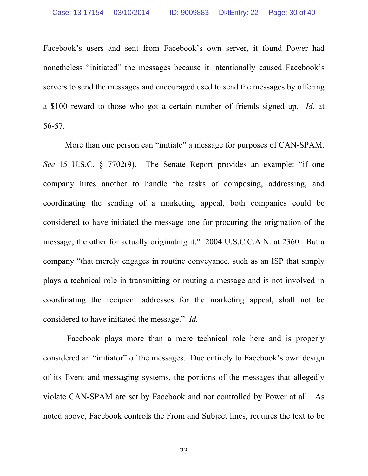Facebook's users and sent from Facebook's own server, it found Power had nonetheless "initiated" the messages because it intentionally caused Facebook's servers to send the messages and encouraged used to send the messages by offering a \$100 reward to those who got a certain number of friends signed up. *Id.* at 56-57.

More than one person can "initiate" a message for purposes of CAN-SPAM. *See* 15 U.S.C. § 7702(9). The Senate Report provides an example: "if one company hires another to handle the tasks of composing, addressing, and coordinating the sending of a marketing appeal, both companies could be considered to have initiated the message–one for procuring the origination of the message; the other for actually originating it." 2004 U.S.C.C.A.N. at 2360. But a company "that merely engages in routine conveyance, such as an ISP that simply plays a technical role in transmitting or routing a message and is not involved in coordinating the recipient addresses for the marketing appeal, shall not be considered to have initiated the message." *Id.*

Facebook plays more than a mere technical role here and is properly considered an "initiator" of the messages. Due entirely to Facebook's own design of its Event and messaging systems, the portions of the messages that allegedly violate CAN-SPAM are set by Facebook and not controlled by Power at all. As noted above, Facebook controls the From and Subject lines, requires the text to be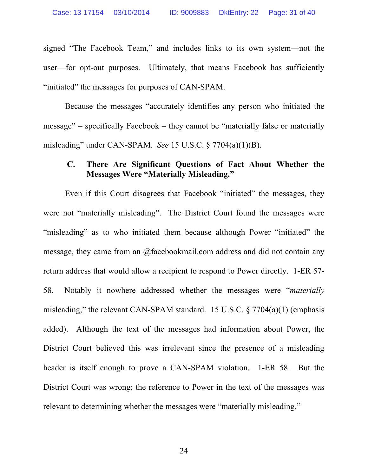signed "The Facebook Team," and includes links to its own system—not the user—for opt-out purposes. Ultimately, that means Facebook has sufficiently "initiated" the messages for purposes of CAN-SPAM.

Because the messages "accurately identifies any person who initiated the message" – specifically Facebook – they cannot be "materially false or materially misleading" under CAN-SPAM. *See* 15 U.S.C. § 7704(a)(1)(B).

### **C. There Are Significant Questions of Fact About Whether the Messages Were "Materially Misleading."**

Even if this Court disagrees that Facebook "initiated" the messages, they were not "materially misleading". The District Court found the messages were "misleading" as to who initiated them because although Power "initiated" the message, they came from an @facebookmail.com address and did not contain any return address that would allow a recipient to respond to Power directly. 1-ER 57- 58. Notably it nowhere addressed whether the messages were "*materially* misleading," the relevant CAN-SPAM standard. 15 U.S.C. § 7704(a)(1) (emphasis added). Although the text of the messages had information about Power, the District Court believed this was irrelevant since the presence of a misleading header is itself enough to prove a CAN-SPAM violation. 1-ER 58. But the District Court was wrong; the reference to Power in the text of the messages was relevant to determining whether the messages were "materially misleading."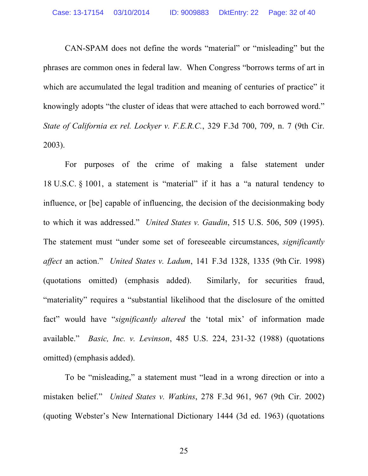CAN-SPAM does not define the words "material" or "misleading" but the phrases are common ones in federal law. When Congress "borrows terms of art in which are accumulated the legal tradition and meaning of centuries of practice" it knowingly adopts "the cluster of ideas that were attached to each borrowed word." *State of California ex rel. Lockyer v. F.E.R.C.*, 329 F.3d 700, 709, n. 7 (9th Cir. 2003).

For purposes of the crime of making a false statement under 18 U.S.C. § 1001, a statement is "material" if it has a "a natural tendency to influence, or [be] capable of influencing, the decision of the decisionmaking body to which it was addressed." *United States v. Gaudin*, 515 U.S. 506, 509 (1995). The statement must "under some set of foreseeable circumstances, *significantly affect* an action." *United States v. Ladum*, 141 F.3d 1328, 1335 (9th Cir. 1998) (quotations omitted) (emphasis added). Similarly, for securities fraud, "materiality" requires a "substantial likelihood that the disclosure of the omitted fact" would have "*significantly altered* the 'total mix' of information made available." *Basic, Inc. v. Levinson*, 485 U.S. 224, 231-32 (1988) (quotations omitted) (emphasis added).

To be "misleading," a statement must "lead in a wrong direction or into a mistaken belief." *United States v. Watkins*, 278 F.3d 961, 967 (9th Cir. 2002) (quoting Webster's New International Dictionary 1444 (3d ed. 1963) (quotations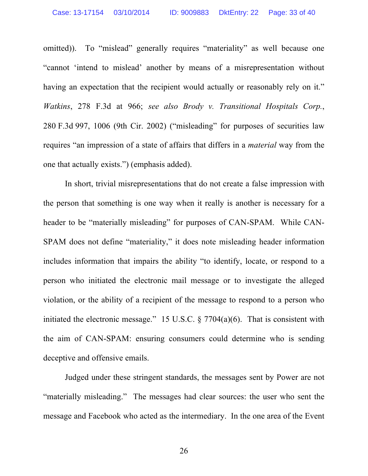omitted)). To "mislead" generally requires "materiality" as well because one "cannot 'intend to mislead' another by means of a misrepresentation without having an expectation that the recipient would actually or reasonably rely on it." *Watkins*, 278 F.3d at 966; *see also Brody v. Transitional Hospitals Corp.*, 280 F.3d 997, 1006 (9th Cir. 2002) ("misleading" for purposes of securities law requires "an impression of a state of affairs that differs in a *material* way from the one that actually exists.") (emphasis added).

In short, trivial misrepresentations that do not create a false impression with the person that something is one way when it really is another is necessary for a header to be "materially misleading" for purposes of CAN-SPAM. While CAN-SPAM does not define "materiality," it does note misleading header information includes information that impairs the ability "to identify, locate, or respond to a person who initiated the electronic mail message or to investigate the alleged violation, or the ability of a recipient of the message to respond to a person who initiated the electronic message." 15 U.S.C.  $\S 7704(a)(6)$ . That is consistent with the aim of CAN-SPAM: ensuring consumers could determine who is sending deceptive and offensive emails.

Judged under these stringent standards, the messages sent by Power are not "materially misleading." The messages had clear sources: the user who sent the message and Facebook who acted as the intermediary. In the one area of the Event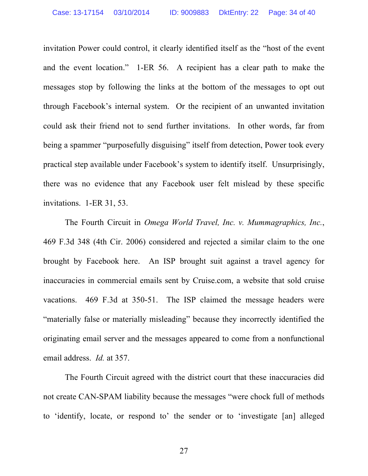invitation Power could control, it clearly identified itself as the "host of the event and the event location." 1-ER 56. A recipient has a clear path to make the messages stop by following the links at the bottom of the messages to opt out through Facebook's internal system. Or the recipient of an unwanted invitation could ask their friend not to send further invitations. In other words, far from being a spammer "purposefully disguising" itself from detection, Power took every practical step available under Facebook's system to identify itself. Unsurprisingly, there was no evidence that any Facebook user felt mislead by these specific invitations. 1-ER 31, 53.

The Fourth Circuit in *Omega World Travel, Inc. v. Mummagraphics, Inc.*, 469 F.3d 348 (4th Cir. 2006) considered and rejected a similar claim to the one brought by Facebook here. An ISP brought suit against a travel agency for inaccuracies in commercial emails sent by Cruise.com, a website that sold cruise vacations. 469 F.3d at 350-51. The ISP claimed the message headers were "materially false or materially misleading" because they incorrectly identified the originating email server and the messages appeared to come from a nonfunctional email address. *Id.* at 357.

The Fourth Circuit agreed with the district court that these inaccuracies did not create CAN-SPAM liability because the messages "were chock full of methods to 'identify, locate, or respond to' the sender or to 'investigate [an] alleged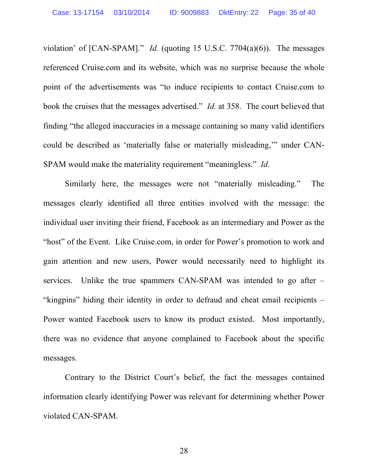violation' of [CAN-SPAM]." *Id.* (quoting 15 U.S.C. 7704(a)(6)). The messages referenced Cruise.com and its website, which was no surprise because the whole point of the advertisements was "to induce recipients to contact Cruise.com to book the cruises that the messages advertised." *Id.* at 358. The court believed that finding "the alleged inaccuracies in a message containing so many valid identifiers could be described as 'materially false or materially misleading,'" under CAN-SPAM would make the materiality requirement "meaningless." *Id.*

Similarly here, the messages were not "materially misleading." The messages clearly identified all three entities involved with the message: the individual user inviting their friend, Facebook as an intermediary and Power as the "host" of the Event. Like Cruise.com, in order for Power's promotion to work and gain attention and new users, Power would necessarily need to highlight its services. Unlike the true spammers CAN-SPAM was intended to go after – "kingpins" hiding their identity in order to defraud and cheat email recipients – Power wanted Facebook users to know its product existed. Most importantly, there was no evidence that anyone complained to Facebook about the specific messages.

Contrary to the District Court's belief, the fact the messages contained information clearly identifying Power was relevant for determining whether Power violated CAN-SPAM.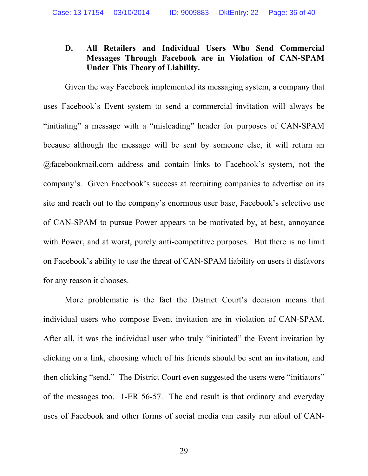## **D. All Retailers and Individual Users Who Send Commercial Messages Through Facebook are in Violation of CAN-SPAM Under This Theory of Liability.**

Given the way Facebook implemented its messaging system, a company that uses Facebook's Event system to send a commercial invitation will always be "initiating" a message with a "misleading" header for purposes of CAN-SPAM because although the message will be sent by someone else, it will return an @facebookmail.com address and contain links to Facebook's system, not the company's. Given Facebook's success at recruiting companies to advertise on its site and reach out to the company's enormous user base, Facebook's selective use of CAN-SPAM to pursue Power appears to be motivated by, at best, annoyance with Power, and at worst, purely anti-competitive purposes. But there is no limit on Facebook's ability to use the threat of CAN-SPAM liability on users it disfavors for any reason it chooses.

More problematic is the fact the District Court's decision means that individual users who compose Event invitation are in violation of CAN-SPAM. After all, it was the individual user who truly "initiated" the Event invitation by clicking on a link, choosing which of his friends should be sent an invitation, and then clicking "send." The District Court even suggested the users were "initiators" of the messages too. 1-ER 56-57. The end result is that ordinary and everyday uses of Facebook and other forms of social media can easily run afoul of CAN-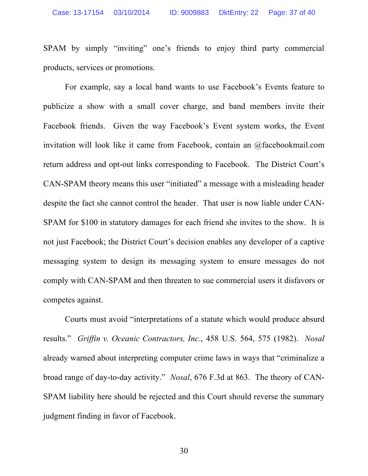SPAM by simply "inviting" one's friends to enjoy third party commercial products, services or promotions.

For example, say a local band wants to use Facebook's Events feature to publicize a show with a small cover charge, and band members invite their Facebook friends. Given the way Facebook's Event system works, the Event invitation will look like it came from Facebook, contain an @facebookmail.com return address and opt-out links corresponding to Facebook. The District Court's CAN-SPAM theory means this user "initiated" a message with a misleading header despite the fact she cannot control the header. That user is now liable under CAN-SPAM for \$100 in statutory damages for each friend she invites to the show. It is not just Facebook; the District Court's decision enables any developer of a captive messaging system to design its messaging system to ensure messages do not comply with CAN-SPAM and then threaten to sue commercial users it disfavors or competes against.

Courts must avoid "interpretations of a statute which would produce absurd results." *Griffin v. Oceanic Contractors, Inc.*, 458 U.S. 564, 575 (1982). *Nosal* already warned about interpreting computer crime laws in ways that "criminalize a broad range of day-to-day activity." *Nosal*, 676 F.3d at 863. The theory of CAN-SPAM liability here should be rejected and this Court should reverse the summary judgment finding in favor of Facebook.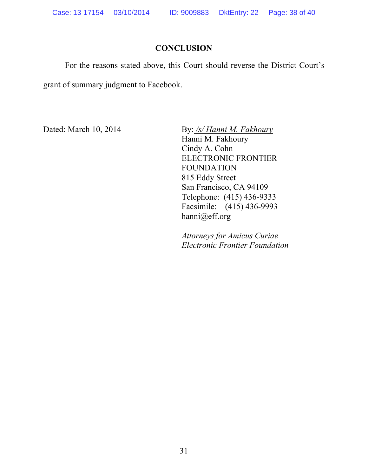## **CONCLUSION**

For the reasons stated above, this Court should reverse the District Court's grant of summary judgment to Facebook.

Dated: March 10, 2014 By: */s/ Hanni M. Fakhoury* Hanni M. Fakhoury Cindy A. Cohn ELECTRONIC FRONTIER FOUNDATION 815 Eddy Street San Francisco, CA 94109 Telephone: (415) 436-9333 Facsimile: (415) 436-9993 hanni@eff.org

> *Attorneys for Amicus Curiae Electronic Frontier Foundation*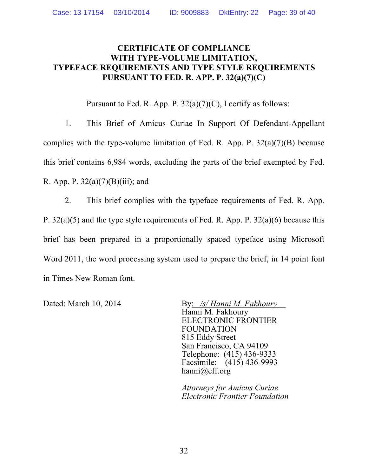## **CERTIFICATE OF COMPLIANCE WITH TYPE-VOLUME LIMITATION, TYPEFACE REQUIREMENTS AND TYPE STYLE REQUIREMENTS PURSUANT TO FED. R. APP. P. 32(a)(7)(C)**

Pursuant to Fed. R. App. P.  $32(a)(7)(C)$ , I certify as follows:

1. This Brief of Amicus Curiae In Support Of Defendant-Appellant complies with the type-volume limitation of Fed. R. App. P.  $32(a)(7)(B)$  because this brief contains 6,984 words, excluding the parts of the brief exempted by Fed. R. App. P.  $32(a)(7)(B)(iii)$ ; and

2. This brief complies with the typeface requirements of Fed. R. App. P. 32(a)(5) and the type style requirements of Fed. R. App. P. 32(a)(6) because this brief has been prepared in a proportionally spaced typeface using Microsoft Word 2011, the word processing system used to prepare the brief, in 14 point font in Times New Roman font.

Dated: March 10, 2014 By: */s/ Hanni M. Fakhoury* Hanni M. Fakhoury ELECTRONIC FRONTIER FOUNDATION 815 Eddy Street San Francisco, CA 94109 Telephone: (415) 436-9333 Facsimile: (415) 436-9993 hanni@eff.org

> *Attorneys for Amicus Curiae Electronic Frontier Foundation*